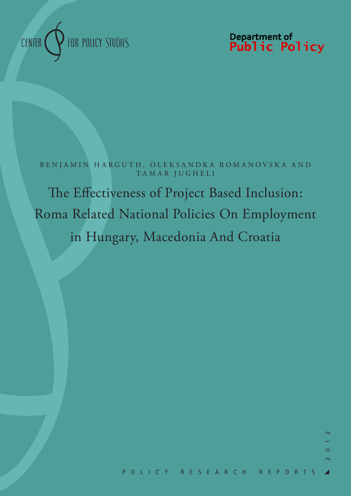

Department of<br>**Public Policy** 

B E N J A M I N H A R G U T H, O L E K S A N D R A R O M A N O V S K A A N D TAMAR JUGHELI

The Effectiveness of Project Based Inclusion: Roma Related National Policies On Employment in Hungary, Macedonia And Croatia

 $\sim$ 

 $\circ$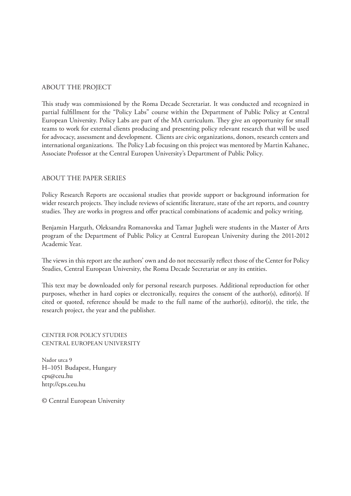# ABOUT THE PROJECT

This study was commissioned by the Roma Decade Secretariat. It was conducted and recognized in partial fulfillment for the "Policy Labs" course within the Department of Public Policy at Central European University. Policy Labs are part of the MA curriculum. They give an opportunity for small teams to work for external clients producing and presenting policy relevant research that will be used for advocacy, assessment and development. Clients are civic organizations, donors, research centers and international organizations. The Policy Lab focusing on this project was mentored by Martin Kahanec, Associate Professor at the Central Europen University's Department of Public Policy.

# ABOUT THE PAPER SERIES

Policy Research Reports are occasional studies that provide support or background information for wider research projects. They include reviews of scientific literature, state of the art reports, and country studies. They are works in progress and offer practical combinations of academic and policy writing.

Benjamin Harguth, Oleksandra Romanovska and Tamar Jugheli were students in the Master of Arts program of the Department of Public Policy at Central European University during the 2011-2012 Academic Year.

The views in this report are the authors' own and do not necessarily reflect those of the Center for Policy Studies, Central European University, the Roma Decade Secretariat or any its entities.

This text may be downloaded only for personal research purposes. Additional reproduction for other purposes, whether in hard copies or electronically, requires the consent of the author(s), editor(s). If cited or quoted, reference should be made to the full name of the author(s), editor(s), the title, the research project, the year and the publisher.

CENTER FOR POLICY STUDIES CENTRAL EUROPEAN UNIVERSITY

Nador utca 9 H–1051 Budapest, Hungary cps@ceu.hu http://cps.ceu.hu

© Central European University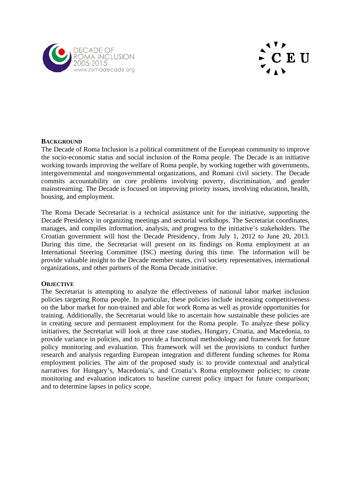



# **BACKGROUND**

The Decade of Roma Inclusion is a political commitment of the European community to improve the socio-economic status and social inclusion of the Roma people. The Decade is an initiative The Decade of Roma Inclusion is a political commitment of the European community to improve<br>the socio-economic status and social inclusion of the Roma people. The Decade is an initiative<br>working towards improving the welfa intergovernmental and nongovernmental organizations, and Romani civil society. The Decade commits accountability on core problems involving poverty, discrimination, and gender mainstreaming. The Decade is focused on improving priority issues, involving education, health housing, and employment. le<br>er<br>1,

The Roma Decade Secretariat is a technical assistance unit for the initiative, supporting the The Roma Decade Secretariat is a technical assistance unit for the initiative, supporting the Decade Presidency in organizing meetings and sectorial workshops. The Secretariat coordinates, manages, and compiles information, analysis, and progress to the initiative's stakeholders. The manages, and compiles information, analysis, and progress to the initiative's stakeholders. The Croatian government will host the Decade Presidency, from July 1, 2012 to June 20, 2013. During this time, the Secretariat will present on its findings on Roma employment at an International Steering Committee (ISC) meeting during this time. The information will be provide valuable insight to the Decade member states, civil society representatives, international organizations, and other partners of the Roma Decade initiative.

## **OBJECT TIVE**

The Secretariat is attempting to analyze the effectiveness of national labor market inclusion policies targeting Roma people. In particular, these policies include increasing competitiveness on the labor market for non-trained and able for work Roma as well as provide opportunities for training. Additionally, the Secretariat would like to ascertain how sustainable these policies are in creating secure and permanent employment for the Roma people. To analyze these policy initiatives, the Secretariat will look at three case studies, Hungary, Croatia, and Macedonia, to provide variance in policies, and to provide a functional methodology and framework for future policy monitoring and evaluation. This framework will set the provisions to conduct further research and analysis regarding European integration and different funding schemes for Roma employment policies. The aim of the proposed study is: to provide contextual and analytical narratives for Hungary's, Macedonia's, and Croatia's Roma employment policies; to create monitoring and evaluation indicators to baseline current policy impact for future comparison; and to determine lapses in policy scope. neleal<br>al<br>ssprewoer<br>erale<br>al<br>te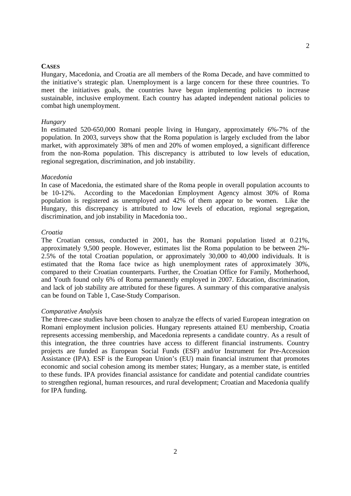#### **CASES**

Hungary, Macedonia, and Croatia are all members of the Roma Decade, and have committed to the initiative's strategic plan. Unemployment is a large concern for these three countries. To meet the initiatives goals, the countries have begun implementing policies to increase sustainable, inclusive employment. Each country has adapted independent national policies to combat high unemployment.

#### *Hungary*

In estimated 520-650,000 Romani people living in Hungary, approximately 6%-7% of the population. In 2003, surveys show that the Roma population is largely excluded from the labor market, with approximately 38% of men and 20% of women employed, a significant difference from the non-Roma population. This discrepancy is attributed to low levels of education, regional segregation, discrimination, and job instability.

### *Macedonia*

In case of Macedonia, the estimated share of the Roma people in overall population accounts to be 10-12%. According to the Macedonian Employment Agency almost 30% of Roma population is registered as unemployed and 42% of them appear to be women. Like the Hungary, this discrepancy is attributed to low levels of education, regional segregation, discrimination, and job instability in Macedonia too...

### *Croatia*

The Croatian census, conducted in 2001, has the Romani population listed at 0.21%, approximately 9,500 people. However, estimates list the Roma population to be between 2%- 2.5% of the total Croatian population, or approximately 30,000 to 40,000 individuals. It is estimated that the Roma face twice as high unemployment rates of approximately 30%, compared to their Croatian counterparts. Further, the Croatian Office for Family, Motherhood, and Youth found only 6% of Roma permanently employed in 2007. Education, discrimination, and lack of job stability are attributed for these figures. A summary of this comparative analysis can be found on Table 1, Case-Study Comparison.

#### *Comparative Analysis*

The three-case studies have been chosen to analyze the effects of varied European integration on Romani employment inclusion policies. Hungary represents attained EU membership, Croatia represents accessing membership, and Macedonia represents a candidate country. As a result of this integration, the three countries have access to different financial instruments. Country projects are funded as European Social Funds (ESF) and/or Instrument for Pre-Accession Assistance (IPA). ESF is the European Union's (EU) main financial instrument that promotes economic and social cohesion among its member states; Hungary, as a member state, is entitled to these funds. IPA provides financial assistance for candidate and potential candidate countries to strengthen regional, human resources, and rural development; Croatian and Macedonia qualify for IPA funding.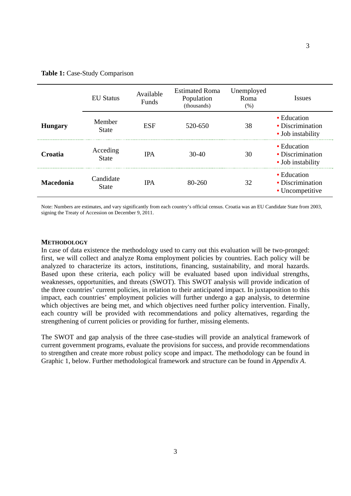#### Table 1: Case-Study Comparison

|                  | <b>EU</b> Status          | Available<br>Funds | <b>Estimated Roma</b><br>Population<br>(thousands) | Unemployed<br>Roma<br>(% ) | <i>Issues</i>                                                |
|------------------|---------------------------|--------------------|----------------------------------------------------|----------------------------|--------------------------------------------------------------|
| <b>Hungary</b>   | Member<br><b>State</b>    | <b>ESF</b>         | 520-650                                            | 38                         | • Education<br>• Discrimination<br>• Job instability         |
| Croatia          | Acceding<br><b>State</b>  | <b>IPA</b>         | $30-40$                                            | 30                         | $\bullet$ Education<br>• Discrimination<br>• Job instability |
| <b>Macedonia</b> | Candidate<br><b>State</b> | <b>IPA</b>         | $80 - 260$                                         | 32                         | • Education<br>• Discrimination<br>• Uncompetitive           |

Note: Numbers are estimates, and vary significantly from each country's official census. Croatia was an EU Candidate State from 2003, signing the Treaty of Accession on December 9, 2011.

### **METHODOLOGY**

In case of data existence the methodology used to carry out this evaluation will be two-pronged: first, we will collect and analyze Roma employment policies by countries. Each policy will be analyzed to characterize its actors, institutions, financing, sustainability, and moral hazards. Based upon these criteria, each policy will be evaluated based upon individual strengths, weaknesses, opportunities, and threats (SWOT). This SWOT analysis will provide indication of the three countries' current policies, in relation to their anticipated impact. In juxtaposition to this impact, each countries' employment policies will further undergo a gap analysis, to determine which objectives are being met, and which objectives need further policy intervention. Finally, each country will be provided with recommendations and policy alternatives, regarding the strengthening of current policies or providing for further, missing elements.

The SWOT and gap analysis of the three case-studies will provide an analytical framework of current government programs, evaluate the provisions for success, and provide recommendations to strengthen and create more robust policy scope and impact. The methodology can be found in Graphic 1, below. Further methodological framework and structure can be found in *Appendix A*.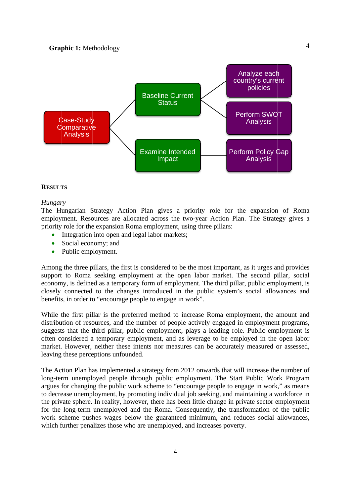

### **RESULTS**

### *Hungary*

The Hungarian Strategy Action Plan gives a priority role for the expansion of Roma employment. Resources are allocated across the two-year Action Plan. The Strategy gives a priority role for the expansion Roma employment, using three pillars:

- Integration into open and legal labor markets;
- Social economy; and
- $\bullet$ Public employment.

Among the three pillars, the first is considered to be the most important, as it urges and provides support to Roma seeking employment at the open labor market. The second pillar, social economy, is defined as a temporary form of employment. The third pillar, public employment, is closely connected to the changes introduced in the public system's social allowances and benefits, in order to "encourage people to engage in work". aa<br>aslisd<br>d,d,d,

While the first pillar is the preferred method to increase Roma employment, the amount and distribution of resources, and the number of people actively engaged in employment programs suggests that the third pillar, public employment, plays a leading role. Public employment is often considered a temporary employment, and as leverage to be employed in the open labor market. However, neither these intents nor measures can be accurately measured or assessed leaving these perceptions unfounded. s<br>r<br>l,

The Action Plan has implemented a strategy from 2012 onwards that will increase the number of long-term unemployed people through public employment. The Start Public Work Program argues for changing the public work scheme to "encourage people to engage in work," as means to decrease unemployment, by promoting individual job seeking, and maintaining a workforce in the private sphere. In reality, however, there has been little change in private sector employment for the long-term unemployed and the Roma. Consequently, the transformation of the public work scheme pushes wages below the guaranteed minimum, and reduces social allowances which further penalizes those who are unemployed, and increases poverty. of m<br>ms<br>in<br>int<br>lic<br>:s,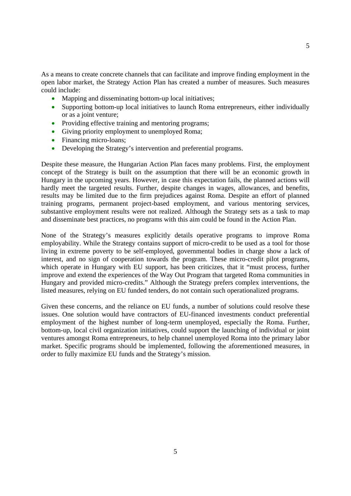As a means to create concrete channels that can facilitate and improve finding employment in the open labor market, the Strategy Action Plan has created a number of measures. Such measures could include:

- Mapping and disseminating bottom-up local initiatives;
- Supporting bottom-up local initiatives to launch Roma entrepreneurs, either individually or as a joint venture;
- Providing effective training and mentoring programs;
- Giving priority employment to unemployed Roma;
- Financing micro-loans;
- Developing the Strategy's intervention and preferential programs.

Despite these measure, the Hungarian Action Plan faces many problems. First, the employment concept of the Strategy is built on the assumption that there will be an economic growth in Hungary in the upcoming years. However, in case this expectation fails, the planned actions will hardly meet the targeted results. Further, despite changes in wages, allowances, and benefits, results may be limited due to the firm prejudices against Roma. Despite an effort of planned training programs, permanent project-based employment, and various mentoring services, substantive employment results were not realized. Although the Strategy sets as a task to map and disseminate best practices, no programs with this aim could be found in the Action Plan.

None of the Strategy's measures explicitly details operative programs to improve Roma employability. While the Strategy contains support of micro-credit to be used as a tool for those living in extreme poverty to be self-employed, governmental bodies in charge show a lack of interest, and no sign of cooperation towards the program. These micro-credit pilot programs, which operate in Hungary with EU support, has been criticizes, that it "must process, further improve and extend the experiences of the Way Out Program that targeted Roma communities in Hungary and provided micro-credits." Although the Strategy prefers complex interventions, the listed measures, relying on EU funded tenders, do not contain such operationalized programs.

Given these concerns, and the reliance on EU funds, a number of solutions could resolve these issues. One solution would have contractors of EU-financed investments conduct preferential employment of the highest number of long-term unemployed, especially the Roma. Further, bottom-up, local civil organization initiatives, could support the launching of individual or joint ventures amongst Roma entrepreneurs, to help channel unemployed Roma into the primary labor market. Specific programs should be implemented, following the aforementioned measures, in order to fully maximize EU funds and the Strategy's mission.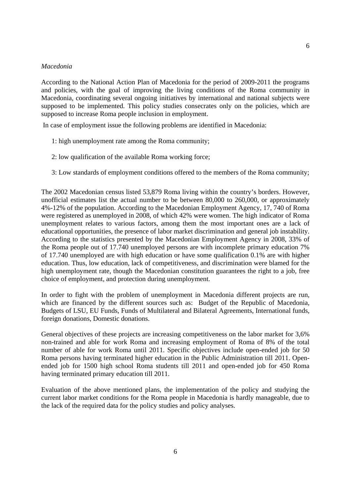### *Macedonia*

According to the National Action Plan of Macedonia for the period of 2009-2011 the programs and policies, with the goal of improving the living conditions of the Roma community in Macedonia, coordinating several ongoing initiatives by international and national subjects were supposed to be implemented. This policy studies consecrates only on the policies, which are supposed to increase Roma people inclusion in employment.

In case of employment issue the following problems are identified in Macedonia:

- 1: high unemployment rate among the Roma community;
- 2: low qualification of the available Roma working force;
- 3: Low standards of employment conditions offered to the members of the Roma community;

The 2002 Macedonian census listed 53,879 Roma living within the country's borders. However, unofficial estimates list the actual number to be between 80,000 to 260,000, or approximately 4%-12% of the population. According to the Macedonian Employment Agency, 17, 740 of Roma were registered as unemployed in 2008, of which 42% were women. The high indicator of Roma unemployment relates to various factors, among them the most important ones are a lack of educational opportunities, the presence of labor market discrimination and general job instability. According to the statistics presented by the Macedonian Employment Agency in 2008, 33% of the Roma people out of 17.740 unemployed persons are with incomplete primary education 7% of 17.740 unemployed are with high education or have some qualification 0.1% are with higher education. Thus, low education, lack of competitiveness, and discrimination were blamed for the high unemployment rate, though the Macedonian constitution guarantees the right to a job, free choice of employment, and protection during unemployment.

In order to fight with the problem of unemployment in Macedonia different projects are run, which are financed by the different sources such as: Budget of the Republic of Macedonia, Budgets of LSU, EU Funds, Funds of Multilateral and Bilateral Agreements, International funds, foreign donations, Domestic donations.

General objectives of these projects are increasing competitiveness on the labor market for 3,6% non-trained and able for work Roma and increasing employment of Roma of 8% of the total number of able for work Roma until 2011. Specific objectives include open-ended job for 50 Roma persons having terminated higher education in the Public Administration till 2011. Openended job for 1500 high school Roma students till 2011 and open-ended job for 450 Roma having terminated primary education till 2011.

Evaluation of the above mentioned plans, the implementation of the policy and studying the current labor market conditions for the Roma people in Macedonia is hardly manageable, due to the lack of the required data for the policy studies and policy analyses.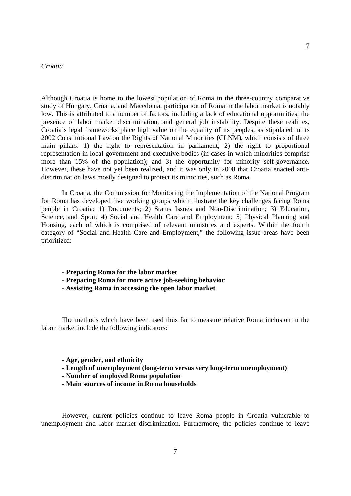### *Croatia*

Although Croatia is home to the lowest population of Roma in the three-country comparative study of Hungary, Croatia, and Macedonia, participation of Roma in the labor market is notably low. This is attributed to a number of factors, including a lack of educational opportunities, the presence of labor market discrimination, and general job instability. Despite these realities, Croatia's legal frameworks place high value on the equality of its peoples, as stipulated in its 2002 Constitutional Law on the Rights of National Minorities (CLNM), which consists of three main pillars: 1) the right to representation in parliament, 2) the right to proportional representation in local government and executive bodies (in cases in which minorities comprise more than 15% of the population); and 3) the opportunity for minority self-governance. However, these have not yet been realized, and it was only in 2008 that Croatia enacted antidiscrimination laws mostly designed to protect its minorities, such as Roma.

 In Croatia, the Commission for Monitoring the Implementation of the National Program for Roma has developed five working groups which illustrate the key challenges facing Roma people in Croatia: 1) Documents; 2) Status Issues and Non-Discrimination; 3) Education, Science, and Sport; 4) Social and Health Care and Employment; 5) Physical Planning and Housing, each of which is comprised of relevant ministries and experts. Within the fourth category of "Social and Health Care and Employment," the following issue areas have been prioritized:

- **Preparing Roma for the labor market**
- **Preparing Roma for more active job-seeking behavior**
- **Assisting Roma in accessing the open labor market**

 The methods which have been used thus far to measure relative Roma inclusion in the labor market include the following indicators:

- **Age, gender, and ethnicity**
- **Length of unemployment (long-term versus very long-term unemployment)**
- **Number of employed Roma population**
- **Main sources of income in Roma households**

 However, current policies continue to leave Roma people in Croatia vulnerable to unemployment and labor market discrimination. Furthermore, the policies continue to leave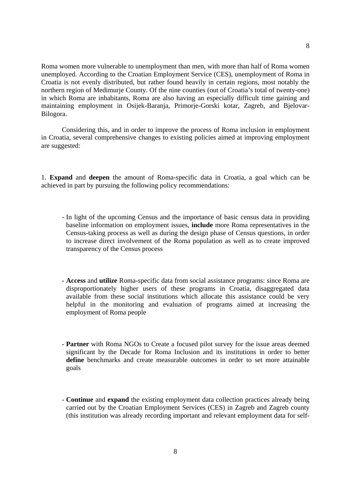Roma women more vulnerable to unemployment than men, with more than half of Roma women unemployed. According to the Croatian Employment Service (CES), unemployment of Roma in Croatia is not evenly distributed, but rather found heavily in certain regions, most notably the northern region of Medimurje County. Of the nine counties (out of Croatia's total of twenty-one) in which Roma are inhabitants, Roma are also having an especially difficult time gaining and maintaining employment in Osijek-Baranja, Primorje-Gorski kotar, Zagreb, and Bjelovar-Bilogora.

 Considering this, and in order to improve the process of Roma inclusion in employment in Croatia, several comprehensive changes to existing policies aimed at improving employment are suggested:

1. **Expand** and **deepen** the amount of Roma-specific data in Croatia, a goal which can be achieved in part by pursuing the following policy recommendations:

- In light of the upcoming Census and the importance of basic census data in providing baseline information on employment issues, **include** more Roma representatives in the Census-taking process as well as during the design phase of Census questions, in order to increase direct involvement of the Roma population as well as to create improved transparency of the Census process
- **Access** and **utilize** Roma-specific data from social assistance programs: since Roma are disproportionately higher users of these programs in Croatia, disaggregated data available from these social institutions which allocate this assistance could be very helpful in the monitoring and evaluation of programs aimed at increasing the employment of Roma people
- **Partner** with Roma NGOs to Create a focused pilot survey for the issue areas deemed significant by the Decade for Roma Inclusion and its institutions in order to better **define** benchmarks and create measurable outcomes in order to set more attainable goals
- **Continue** and **expand** the existing employment data collection practices already being carried out by the Croatian Employment Services (CES) in Zagreb and Zagreb county (this institution was already recording important and relevant employment data for self-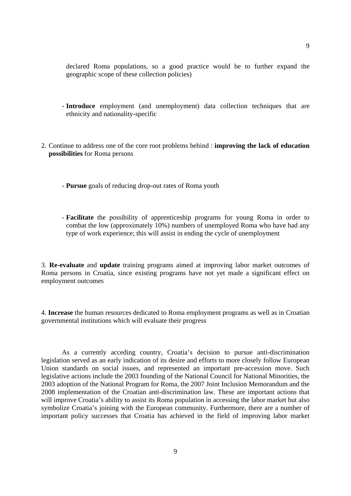declared Roma populations, so a good practice would be to further expand the geographic scope of these collection policies)

- **Introduce** employment (and unemployment) data collection techniques that are ethnicity and nationality-specific
- 2. Continue to address one of the core root problems behind : **improving the lack of education possibilities** for Roma persons
	- **Pursue** goals of reducing drop-out rates of Roma youth
	- **Facilitate** the possibility of apprenticeship programs for young Roma in order to combat the low (approximately 10%) numbers of unemployed Roma who have had any type of work experience; this will assist in ending the cycle of unemployment

3. **Re-evaluate** and **update** training programs aimed at improving labor market outcomes of Roma persons in Croatia, since existing programs have not yet made a significant effect on employment outcomes

4. **Increase** the human resources dedicated to Roma employment programs as well as in Croatian governmental institutions which will evaluate their progress

 As a currently acceding country, Croatia's decision to pursue anti-discrimination legislation served as an early indication of its desire and efforts to more closely follow European Union standards on social issues, and represented an important pre-accession move. Such legislative actions include the 2003 founding of the National Council for National Minorities, the 2003 adoption of the National Program for Roma, the 2007 Joint Inclusion Memorandum and the 2008 implementation of the Croatian anti-discrimination law. These are important actions that will improve Croatia's ability to assist its Roma population in accessing the labor market but also symbolize Croatia's joining with the European community. Furthermore, there are a number of important policy successes that Croatia has achieved in the field of improving labor market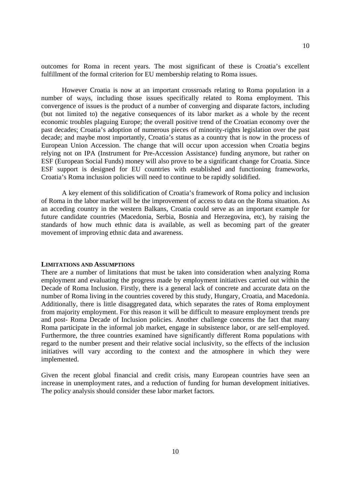10

outcomes for Roma in recent years. The most significant of these is Croatia's excellent fulfillment of the formal criterion for EU membership relating to Roma issues.

 However Croatia is now at an important crossroads relating to Roma population in a number of ways, including those issues specifically related to Roma employment. This convergence of issues is the product of a number of converging and disparate factors, including (but not limited to) the negative consequences of its labor market as a whole by the recent economic troubles plaguing Europe; the overall positive trend of the Croatian economy over the past decades; Croatia's adoption of numerous pieces of minority-rights legislation over the past decade; and maybe most importantly, Croatia's status as a country that is now in the process of European Union Accession. The change that will occur upon accession when Croatia begins relying not on IPA (Instrument for Pre-Accession Assistance) funding anymore, but rather on ESF (European Social Funds) money will also prove to be a significant change for Croatia. Since ESF support is designed for EU countries with established and functioning frameworks, Croatia's Roma inclusion policies will need to continue to be rapidly solidified.

 A key element of this solidification of Croatia's framework of Roma policy and inclusion of Roma in the labor market will be the improvement of access to data on the Roma situation. As an acceding country in the western Balkans, Croatia could serve as an important example for future candidate countries (Macedonia, Serbia, Bosnia and Herzegovina, etc), by raising the standards of how much ethnic data is available, as well as becoming part of the greater movement of improving ethnic data and awareness.

#### **LIMITATIONS AND ASSUMPTIONS**

There are a number of limitations that must be taken into consideration when analyzing Roma employment and evaluating the progress made by employment initiatives carried out within the Decade of Roma Inclusion. Firstly, there is a general lack of concrete and accurate data on the number of Roma living in the countries covered by this study, Hungary, Croatia, and Macedonia. Additionally, there is little disaggregated data, which separates the rates of Roma employment from majority employment. For this reason it will be difficult to measure employment trends pre and post- Roma Decade of Inclusion policies. Another challenge concerns the fact that many Roma participate in the informal job market, engage in subsistence labor, or are self-employed. Furthermore, the three countries examined have significantly different Roma populations with regard to the number present and their relative social inclusivity, so the effects of the inclusion initiatives will vary according to the context and the atmosphere in which they were implemented.

Given the recent global financial and credit crisis, many European countries have seen an increase in unemployment rates, and a reduction of funding for human development initiatives. The policy analysis should consider these labor market factors.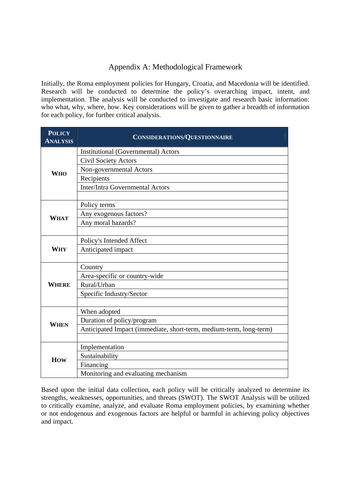# Appendix A: Methodological Framework

Initially, the Roma employment policies for Hungary, Croatia, and Macedonia will be identified. Research will be conducted to determine the policy's overarching impact, intent, and implementation. The analysis will be conducted to investigate and research basic information: who what, why, where, how. Key considerations will be given to gather a breadth of information for each policy, for further critical analysis.

| <b>POLICY</b><br><b>ANALYSIS</b> | <b>CONSIDERATIONS/QUESTIONNAIRE</b>                                |  |  |  |
|----------------------------------|--------------------------------------------------------------------|--|--|--|
| <b>WHO</b>                       | <b>Institutional (Governmental) Actors</b>                         |  |  |  |
|                                  | <b>Civil Society Actors</b>                                        |  |  |  |
|                                  | Non-governmental Actors                                            |  |  |  |
|                                  | Recipients                                                         |  |  |  |
|                                  | <b>Inter/Intra Governmental Actors</b>                             |  |  |  |
|                                  |                                                                    |  |  |  |
| <b>WHAT</b>                      | Policy terms                                                       |  |  |  |
|                                  | Any exogenous factors?                                             |  |  |  |
|                                  | Any moral hazards?                                                 |  |  |  |
|                                  |                                                                    |  |  |  |
| <b>WHY</b>                       | Policy's Intended Affect                                           |  |  |  |
|                                  | Anticipated impact                                                 |  |  |  |
|                                  |                                                                    |  |  |  |
| <b>WHERE</b>                     | Country                                                            |  |  |  |
|                                  | Area-specific or country-wide                                      |  |  |  |
|                                  | Rural/Urban                                                        |  |  |  |
|                                  | Specific Industry/Sector                                           |  |  |  |
|                                  |                                                                    |  |  |  |
| WHEN                             | When adopted                                                       |  |  |  |
|                                  | Duration of policy/program                                         |  |  |  |
|                                  | Anticipated Impact (immediate, short-term, medium-term, long-term) |  |  |  |
|                                  |                                                                    |  |  |  |
| How                              | Implementation                                                     |  |  |  |
|                                  | Sustainability                                                     |  |  |  |
|                                  | Financing                                                          |  |  |  |
|                                  | Monitoring and evaluating mechanism                                |  |  |  |

Based upon the initial data collection, each policy will be critically analyzed to determine its strengths, weaknesses, opportunities, and threats (SWOT). The SWOT Analysis will be utilized to critically examine, analyze, and evaluate Roma employment policies, by examining whether or not endogenous and exogenous factors are helpful or harmful in achieving policy objectives and impact.